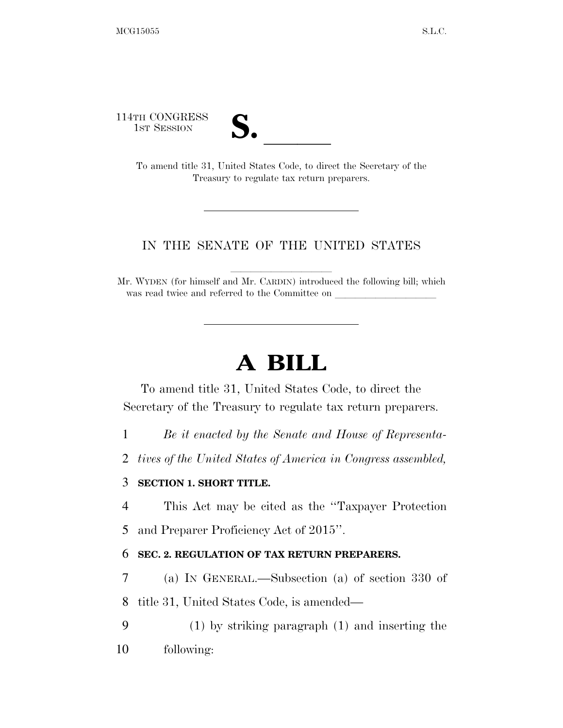114TH CONGRESS

TH CONGRESS<br>
1st Session<br>
To amend title 31, United States Code, to direct the Secretary of the Treasury to regulate tax return preparers.

## IN THE SENATE OF THE UNITED STATES

Mr. WYDEN (for himself and Mr. CARDIN) introduced the following bill; which was read twice and referred to the Committee on

## **A BILL**

To amend title 31, United States Code, to direct the Secretary of the Treasury to regulate tax return preparers.

1 *Be it enacted by the Senate and House of Representa-*

2 *tives of the United States of America in Congress assembled,* 

## 3 **SECTION 1. SHORT TITLE.**

4 This Act may be cited as the ''Taxpayer Protection

5 and Preparer Proficiency Act of 2015''.

## 6 **SEC. 2. REGULATION OF TAX RETURN PREPARERS.**

7 (a) IN GENERAL.—Subsection (a) of section 330 of 8 title 31, United States Code, is amended—

9 (1) by striking paragraph (1) and inserting the 10 following: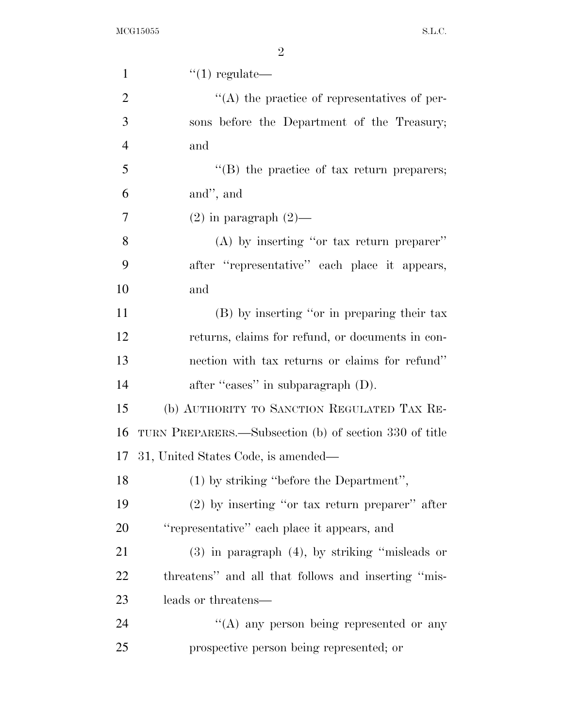| $\mathbf{1}$   | $\lq(1)$ regulate—                                     |
|----------------|--------------------------------------------------------|
| $\overline{2}$ | $\lq\lq$ the practice of representatives of per-       |
| 3              | sons before the Department of the Treasury;            |
| $\overline{4}$ | and                                                    |
| 5              | "(B) the practice of tax return preparers;             |
| 6              | and", and                                              |
| 7              | $(2)$ in paragraph $(2)$ —                             |
| 8              | $(A)$ by inserting "or tax return preparer"            |
| 9              | after "representative" each place it appears,          |
| 10             | and                                                    |
| 11             | (B) by inserting "or in preparing their tax            |
| 12             | returns, claims for refund, or documents in con-       |
| 13             | nection with tax returns or claims for refund"         |
| 14             | after "cases" in subparagraph (D).                     |
| 15             | (b) AUTHORITY TO SANCTION REGULATED TAX RE-            |
| 16             | TURN PREPARERS.—Subsection (b) of section 330 of title |
| 17             | 31, United States Code, is amended—                    |
| 18             | (1) by striking "before the Department",               |
| 19             | $(2)$ by inserting "or tax return preparer" after      |
| 20             | "representative" each place it appears, and            |
| 21             | $(3)$ in paragraph $(4)$ , by striking "misleads or    |
| 22             | threatens" and all that follows and inserting "mis-    |
| 23             | leads or threatens—                                    |
| 24             | $\lq\lq$ any person being represented or any           |
| 25             | prospective person being represented; or               |